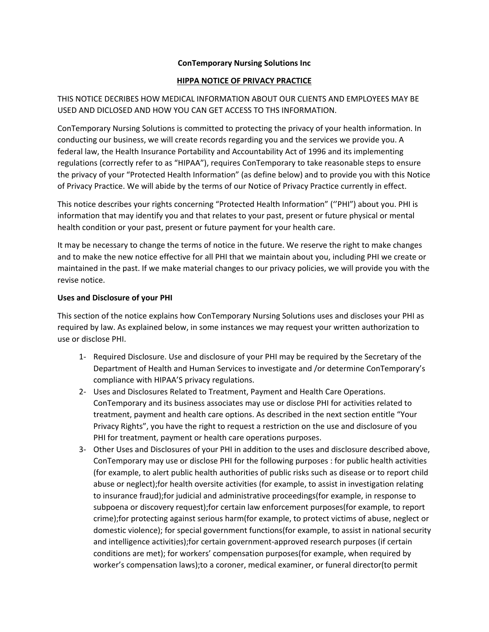#### **ConTemporary Nursing Solutions Inc**

## **HIPPA NOTICE OF PRIVACY PRACTICE**

THIS NOTICE DECRIBES HOW MEDICAL INFORMATION ABOUT OUR CLIENTS AND EMPLOYEES MAY BE USED AND DICLOSED AND HOW YOU CAN GET ACCESS TO THS INFORMATION.

ConTemporary Nursing Solutions is committed to protecting the privacy of your health information. In conducting our business, we will create records regarding you and the services we provide you. A federal law, the Health Insurance Portability and Accountability Act of 1996 and its implementing regulations (correctly refer to as "HIPAA"), requires ConTemporary to take reasonable steps to ensure the privacy of your "Protected Health Information" (as define below) and to provide you with this Notice of Privacy Practice. We will abide by the terms of our Notice of Privacy Practice currently in effect.

This notice describes your rights concerning "Protected Health Information" (''PHI") about you. PHI is information that may identify you and that relates to your past, present or future physical or mental health condition or your past, present or future payment for your health care.

It may be necessary to change the terms of notice in the future. We reserve the right to make changes and to make the new notice effective for all PHI that we maintain about you, including PHI we create or maintained in the past. If we make material changes to our privacy policies, we will provide you with the revise notice.

#### **Uses and Disclosure of your PHI**

This section of the notice explains how ConTemporary Nursing Solutions uses and discloses your PHI as required by law. As explained below, in some instances we may request your written authorization to use or disclose PHI.

- 1‐ Required Disclosure. Use and disclosure of your PHI may be required by the Secretary of the Department of Health and Human Services to investigate and /or determine ConTemporary's compliance with HIPAA'S privacy regulations.
- 2‐ Uses and Disclosures Related to Treatment, Payment and Health Care Operations. ConTemporary and its business associates may use or disclose PHI for activities related to treatment, payment and health care options. As described in the next section entitle "Your Privacy Rights", you have the right to request a restriction on the use and disclosure of you PHI for treatment, payment or health care operations purposes.
- 3‐ Other Uses and Disclosures of your PHI in addition to the uses and disclosure described above, ConTemporary may use or disclose PHI for the following purposes : for public health activities (for example, to alert public health authorities of public risks such as disease or to report child abuse or neglect);for health oversite activities (for example, to assist in investigation relating to insurance fraud);for judicial and administrative proceedings(for example, in response to subpoena or discovery request);for certain law enforcement purposes(for example, to report crime);for protecting against serious harm(for example, to protect victims of abuse, neglect or domestic violence); for special government functions(for example, to assist in national security and intelligence activities);for certain government‐approved research purposes (if certain conditions are met); for workers' compensation purposes(for example, when required by worker's compensation laws);to a coroner, medical examiner, or funeral director(to permit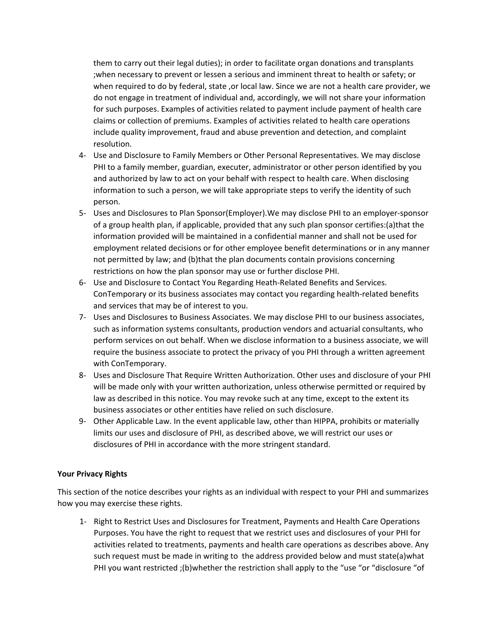them to carry out their legal duties); in order to facilitate organ donations and transplants ;when necessary to prevent or lessen a serious and imminent threat to health or safety; or when required to do by federal, state ,or local law. Since we are not a health care provider, we do not engage in treatment of individual and, accordingly, we will not share your information for such purposes. Examples of activities related to payment include payment of health care claims or collection of premiums. Examples of activities related to health care operations include quality improvement, fraud and abuse prevention and detection, and complaint resolution.

- 4‐ Use and Disclosure to Family Members or Other Personal Representatives. We may disclose PHI to a family member, guardian, executer, administrator or other person identified by you and authorized by law to act on your behalf with respect to health care. When disclosing information to such a person, we will take appropriate steps to verify the identity of such person.
- 5- Uses and Disclosures to Plan Sponsor(Employer). We may disclose PHI to an employer-sponsor of a group health plan, if applicable, provided that any such plan sponsor certifies:(a)that the information provided will be maintained in a confidential manner and shall not be used for employment related decisions or for other employee benefit determinations or in any manner not permitted by law; and (b)that the plan documents contain provisions concerning restrictions on how the plan sponsor may use or further disclose PHI.
- 6‐ Use and Disclosure to Contact You Regarding Heath‐Related Benefits and Services. ConTemporary or its business associates may contact you regarding health‐related benefits and services that may be of interest to you.
- 7‐ Uses and Disclosures to Business Associates. We may disclose PHI to our business associates, such as information systems consultants, production vendors and actuarial consultants, who perform services on out behalf. When we disclose information to a business associate, we will require the business associate to protect the privacy of you PHI through a written agreement with ConTemporary.
- 8‐ Uses and Disclosure That Require Written Authorization. Other uses and disclosure of your PHI will be made only with your written authorization, unless otherwise permitted or required by law as described in this notice. You may revoke such at any time, except to the extent its business associates or other entities have relied on such disclosure.
- 9- Other Applicable Law. In the event applicable law, other than HIPPA, prohibits or materially limits our uses and disclosure of PHI, as described above, we will restrict our uses or disclosures of PHI in accordance with the more stringent standard.

#### **Your Privacy Rights**

This section of the notice describes your rights as an individual with respect to your PHI and summarizes how you may exercise these rights.

1‐ Right to Restrict Uses and Disclosures for Treatment, Payments and Health Care Operations Purposes. You have the right to request that we restrict uses and disclosures of your PHI for activities related to treatments, payments and health care operations as describes above. Any such request must be made in writing to the address provided below and must state(a)what PHI you want restricted ;(b)whether the restriction shall apply to the "use "or "disclosure "of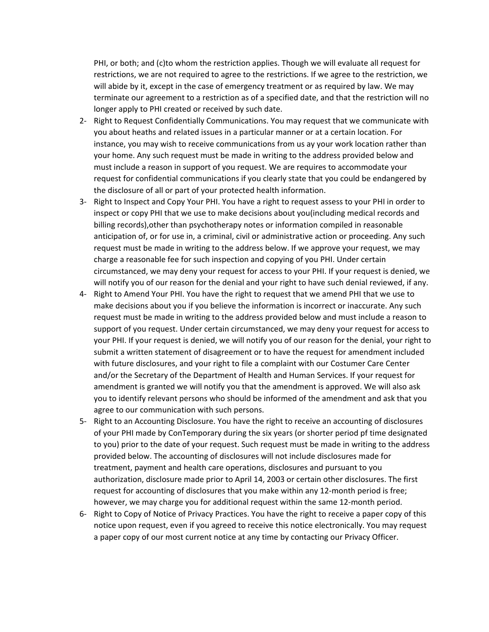PHI, or both; and (c)to whom the restriction applies. Though we will evaluate all request for restrictions, we are not required to agree to the restrictions. If we agree to the restriction, we will abide by it, except in the case of emergency treatment or as required by law. We may terminate our agreement to a restriction as of a specified date, and that the restriction will no longer apply to PHI created or received by such date.

- 2‐ Right to Request Confidentially Communications. You may request that we communicate with you about heaths and related issues in a particular manner or at a certain location. For instance, you may wish to receive communications from us ay your work location rather than your home. Any such request must be made in writing to the address provided below and must include a reason in support of you request. We are requires to accommodate your request for confidential communications if you clearly state that you could be endangered by the disclosure of all or part of your protected health information.
- 3‐ Right to Inspect and Copy Your PHI. You have a right to request assess to your PHI in order to inspect or copy PHI that we use to make decisions about you(including medical records and billing records),other than psychotherapy notes or information compiled in reasonable anticipation of, or for use in, a criminal, civil or administrative action or proceeding. Any such request must be made in writing to the address below. If we approve your request, we may charge a reasonable fee for such inspection and copying of you PHI. Under certain circumstanced, we may deny your request for access to your PHI. If your request is denied, we will notify you of our reason for the denial and your right to have such denial reviewed, if any.
- 4‐ Right to Amend Your PHI. You have the right to request that we amend PHI that we use to make decisions about you if you believe the information is incorrect or inaccurate. Any such request must be made in writing to the address provided below and must include a reason to support of you request. Under certain circumstanced, we may deny your request for access to your PHI. If your request is denied, we will notify you of our reason for the denial, your right to submit a written statement of disagreement or to have the request for amendment included with future disclosures, and your right to file a complaint with our Costumer Care Center and/or the Secretary of the Department of Health and Human Services. If your request for amendment is granted we will notify you that the amendment is approved. We will also ask you to identify relevant persons who should be informed of the amendment and ask that you agree to our communication with such persons.
- 5‐ Right to an Accounting Disclosure. You have the right to receive an accounting of disclosures of your PHI made by ConTemporary during the six years (or shorter period pf time designated to you) prior to the date of your request. Such request must be made in writing to the address provided below. The accounting of disclosures will not include disclosures made for treatment, payment and health care operations, disclosures and pursuant to you authorization, disclosure made prior to April 14, 2003 or certain other disclosures. The first request for accounting of disclosures that you make within any 12-month period is free; however, we may charge you for additional request within the same 12‐month period.
- 6‐ Right to Copy of Notice of Privacy Practices. You have the right to receive a paper copy of this notice upon request, even if you agreed to receive this notice electronically. You may request a paper copy of our most current notice at any time by contacting our Privacy Officer.